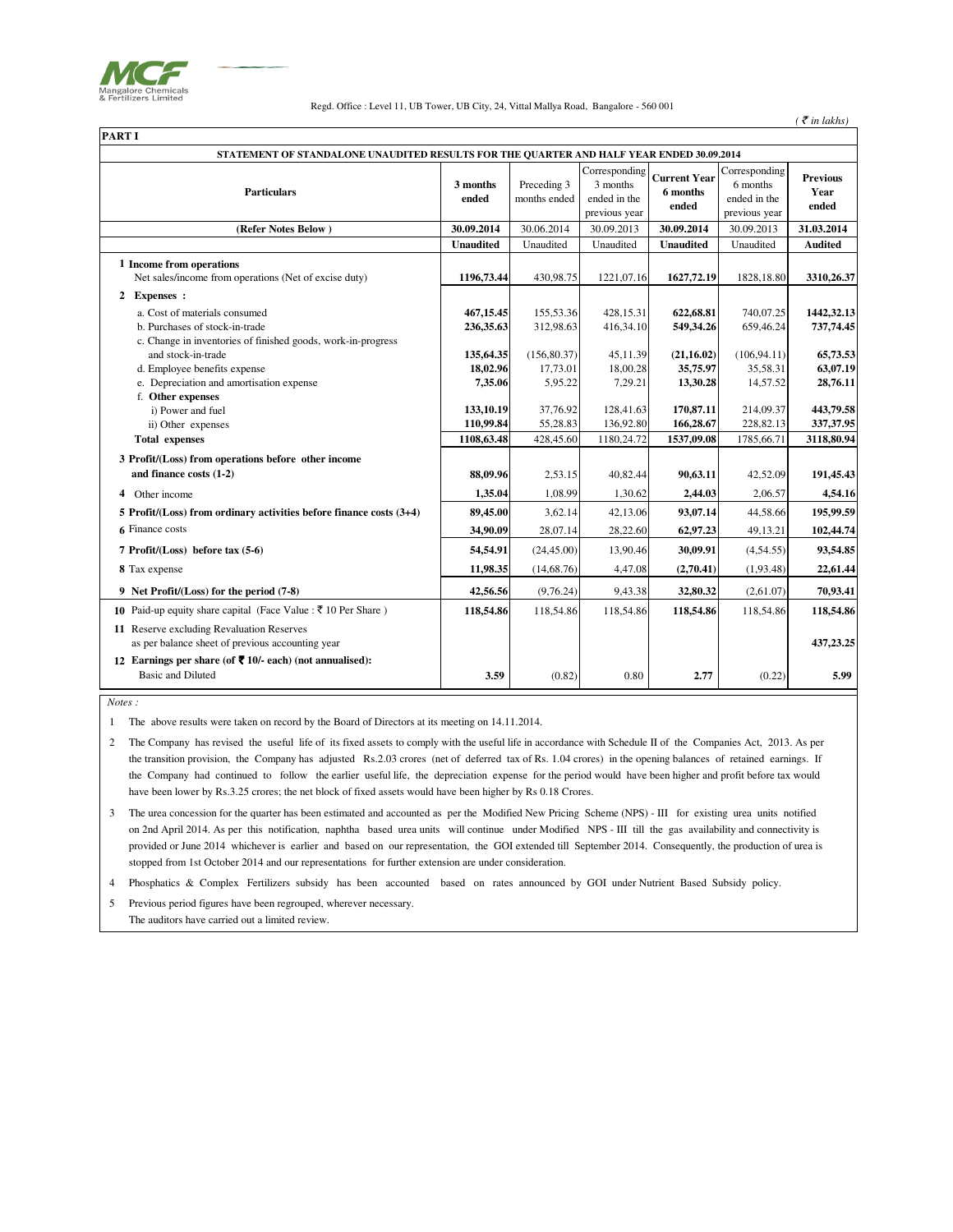

Regd. Office : Level 11, UB Tower, UB City, 24, Vittal Mallya Road, Bangalore - 560 001

|--|--|--|

| ran i i                                                                                       |                        |                             |                                                            |                                          |                                                            |                                  |
|-----------------------------------------------------------------------------------------------|------------------------|-----------------------------|------------------------------------------------------------|------------------------------------------|------------------------------------------------------------|----------------------------------|
| STATEMENT OF STANDALONE UNAUDITED RESULTS FOR THE QUARTER AND HALF YEAR ENDED 30.09.2014      |                        |                             |                                                            |                                          |                                                            |                                  |
| <b>Particulars</b>                                                                            | 3 months<br>ended      | Preceding 3<br>months ended | Corresponding<br>3 months<br>ended in the<br>previous year | <b>Current Year</b><br>6 months<br>ended | Corresponding<br>6 months<br>ended in the<br>previous year | <b>Previous</b><br>Year<br>ended |
| (Refer Notes Below)                                                                           | 30.09.2014             | 30.06.2014                  | 30.09.2013                                                 | 30.09.2014                               | 30.09.2013                                                 | 31.03.2014                       |
|                                                                                               | <b>Unaudited</b>       | Unaudited                   | Unaudited                                                  | <b>Unaudited</b>                         | Unaudited                                                  | <b>Audited</b>                   |
| 1 Income from operations<br>Net sales/income from operations (Net of excise duty)             | 1196,73.44             | 430,98.75                   | 1221,07.16                                                 | 1627,72.19                               | 1828, 18.80                                                | 3310,26.37                       |
| 2 Expenses :                                                                                  |                        |                             |                                                            |                                          |                                                            |                                  |
| a. Cost of materials consumed<br>b. Purchases of stock-in-trade                               | 467,15.45<br>236,35.63 | 155,53.36<br>312,98.63      | 428,15.31<br>416,34.10                                     | 622,68.81<br>549,34.26                   | 740,07.25<br>659,46.24                                     | 1442,32.13<br>737,74.45          |
| c. Change in inventories of finished goods, work-in-progress                                  |                        |                             |                                                            |                                          |                                                            |                                  |
| and stock-in-trade                                                                            | 135,64.35              | (156, 80.37)                | 45.11.39                                                   | (21, 16.02)                              | (106, 94.11)                                               | 65,73.53                         |
| d. Employee benefits expense                                                                  | 18,02.96               | 17,73.01                    | 18,00.28                                                   | 35,75.97                                 | 35,58.31                                                   | 63,07.19                         |
| e. Depreciation and amortisation expense                                                      | 7,35.06                | 5,95.22                     | 7,29.21                                                    | 13,30.28                                 | 14,57.52                                                   | 28,76.11                         |
| f. Other expenses<br>i) Power and fuel                                                        | 133,10.19              | 37,76.92                    | 128,41.63                                                  | 170,87.11                                | 214,09.37                                                  | 443,79.58                        |
| ii) Other expenses                                                                            | 110,99.84              | 55,28.83                    | 136,92.80                                                  | 166,28.67                                | 228,82.13                                                  | 337, 37. 95                      |
| <b>Total expenses</b>                                                                         | 1108,63.48             | 428,45.60                   | 1180,24.72                                                 | 1537,09.08                               | 1785,66.71                                                 | 3118,80.94                       |
| 3 Profit/(Loss) from operations before other income<br>and finance costs (1-2)                | 88,09.96               | 2,53.15                     | 40,82.44                                                   | 90,63.11                                 | 42,52.09                                                   | 191,45.43                        |
| 4 Other income                                                                                | 1,35.04                | 1,08.99                     | 1,30.62                                                    | 2,44.03                                  | 2,06.57                                                    | 4,54.16                          |
| 5 Profit/(Loss) from ordinary activities before finance costs (3+4)                           | 89,45.00               | 3,62.14                     | 42,13.06                                                   | 93,07.14                                 | 44,58.66                                                   | 195,99.59                        |
| 6 Finance costs                                                                               | 34,90.09               | 28,07.14                    | 28,22.60                                                   | 62,97.23                                 | 49,13.21                                                   | 102,44.74                        |
| 7 Profit/(Loss) before tax (5-6)                                                              | 54,54.91               | (24, 45.00)                 | 13,90.46                                                   | 30,09.91                                 | (4,54.55)                                                  | 93,54.85                         |
| 8 Tax expense                                                                                 | 11,98.35               | (14, 68.76)                 | 4,47.08                                                    | (2,70.41)                                | (1,93.48)                                                  | 22,61.44                         |
| 9 Net Profit/(Loss) for the period (7-8)                                                      | 42,56.56               | (9,76.24)                   | 9,43.38                                                    | 32,80.32                                 | (2,61.07)                                                  | 70,93.41                         |
| <b>10</b> Paid-up equity share capital (Face Value : ₹ 10 Per Share)                          | 118,54.86              | 118,54.86                   | 118,54.86                                                  | 118,54.86                                | 118,54.86                                                  | 118,54.86                        |
| 11 Reserve excluding Revaluation Reserves<br>as per balance sheet of previous accounting year |                        |                             |                                                            |                                          |                                                            | 437,23.25                        |
| 12 Earnings per share (of ₹ 10/- each) (not annualised):<br><b>Basic and Diluted</b>          | 3.59                   | (0.82)                      | 0.80                                                       | 2.77                                     | (0.22)                                                     | 5.99                             |

 *Notes :*

1 The above results were taken on record by the Board of Directors at its meeting on 14.11.2014.

2 The Company has revised the useful life of its fixed assets to comply with the useful life in accordance with Schedule II of the Companies Act, 2013. As per the transition provision, the Company has adjusted Rs.2.03 crores (net of deferred tax of Rs. 1.04 crores) in the opening balances of retained earnings. If the Company had continued to follow the earlier useful life, the depreciation expense for the period would have been higher and profit before tax would have been lower by Rs.3.25 crores; the net block of fixed assets would have been higher by Rs 0.18 Crores.

3 The urea concession for the quarter has been estimated and accounted as per the Modified New Pricing Scheme (NPS) - III for existing urea units notifiedon 2nd April 2014. As per this notification, naphtha based urea units will continue under Modified NPS - III till the gas availability and connectivity is provided or June 2014 whichever is earlier and based on our representation, the GOI extended till September 2014. Consequently, the production of urea is stopped from 1st October 2014 and our representations for further extension are under consideration.

4 Phosphatics & Complex Fertilizers subsidy has been accounted based on rates announced by GOI under Nutrient Based Subsidy policy.

5 Previous period figures have been regrouped, wherever necessary. The auditors have carried out a limited review.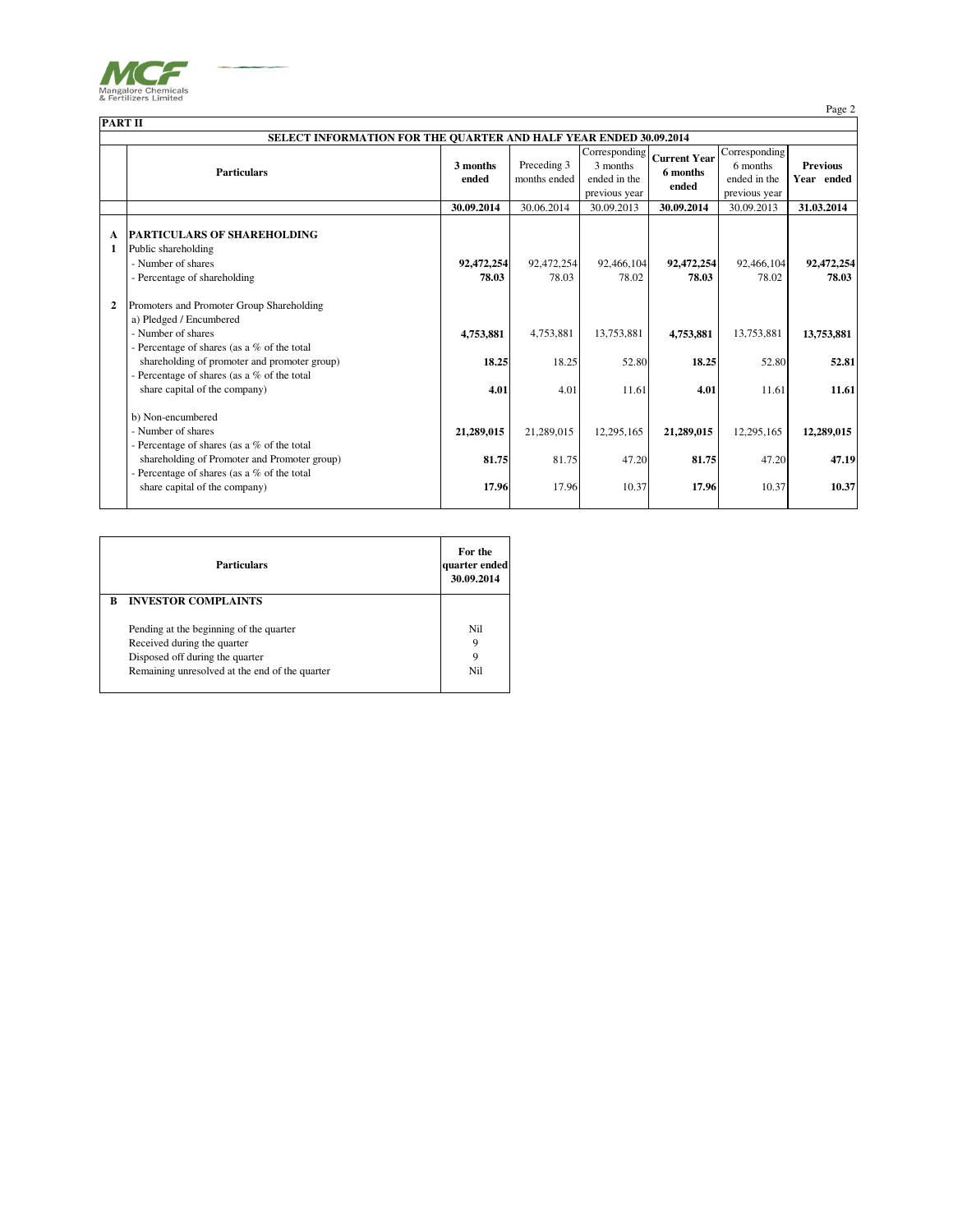

Page 2

|                | <b>PART II</b>                                                                                                  |                     |                             |                                                            |                                          |                                                            |                               |
|----------------|-----------------------------------------------------------------------------------------------------------------|---------------------|-----------------------------|------------------------------------------------------------|------------------------------------------|------------------------------------------------------------|-------------------------------|
|                | <b>SELECT INFORMATION FOR THE QUARTER AND HALF YEAR ENDED 30.09.2014</b>                                        |                     |                             |                                                            |                                          |                                                            |                               |
|                | <b>Particulars</b>                                                                                              | 3 months<br>ended   | Preceding 3<br>months ended | Corresponding<br>3 months<br>ended in the<br>previous year | <b>Current Year</b><br>6 months<br>ended | Corresponding<br>6 months<br>ended in the<br>previous year | <b>Previous</b><br>Year ended |
|                |                                                                                                                 | 30.09.2014          | 30.06.2014                  | 30.09.2013                                                 | 30.09.2014                               | 30.09.2013                                                 | 31.03.2014                    |
| A<br>1         | <b>PARTICULARS OF SHAREHOLDING</b><br>Public shareholding<br>- Number of shares<br>- Percentage of shareholding | 92,472,254<br>78.03 | 92,472,254<br>78.03         | 92,466,104<br>78.02                                        | 92,472,254<br>78.03                      | 92,466,104<br>78.02                                        | 92,472,254<br>78.03           |
| $\overline{2}$ | Promoters and Promoter Group Shareholding                                                                       |                     |                             |                                                            |                                          |                                                            |                               |
|                | a) Pledged / Encumbered<br>- Number of shares<br>- Percentage of shares (as a % of the total                    | 4,753,881           | 4,753,881                   | 13,753,881                                                 | 4,753,881                                | 13,753,881                                                 | 13,753,881                    |
|                | shareholding of promoter and promoter group)                                                                    | 18.25               | 18.25                       | 52.80                                                      | 18.25                                    | 52.80                                                      | 52.81                         |
|                | - Percentage of shares (as a % of the total<br>share capital of the company)                                    | 4.01                | 4.01                        | 11.61                                                      | 4.01                                     | 11.61                                                      | 11.61                         |
|                | b) Non-encumbered<br>- Number of shares<br>- Percentage of shares (as a % of the total                          | 21,289,015          | 21,289,015                  | 12,295,165                                                 | 21,289,015                               | 12,295,165                                                 | 12,289,015                    |
|                | shareholding of Promoter and Promoter group)                                                                    | 81.75               | 81.75                       | 47.20                                                      | 81.75                                    | 47.20                                                      | 47.19                         |
|                | - Percentage of shares (as a % of the total<br>share capital of the company)                                    | 17.96               | 17.96                       | 10.37                                                      | 17.96                                    | 10.37                                                      | 10.37                         |

|   | quarter ended<br><b>Particulars</b>                                                                       |               |
|---|-----------------------------------------------------------------------------------------------------------|---------------|
| R | <b>INVESTOR COMPLAINTS</b>                                                                                |               |
|   | Pending at the beginning of the quarter<br>Received during the quarter<br>Disposed off during the quarter | Ni1<br>9<br>9 |
|   | Remaining unresolved at the end of the quarter                                                            | Nil           |